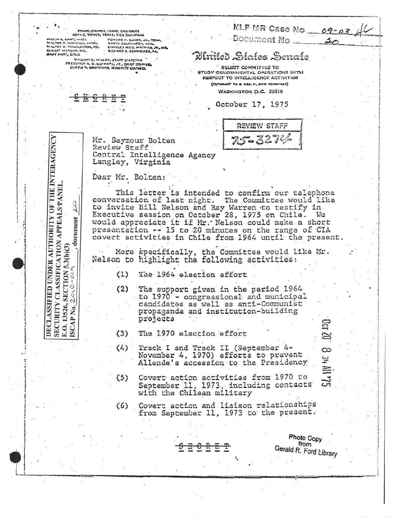|                                                                                                                                                                                                                                               | NLF MR Case No __ 09-03                                                                                                                                                                                                                                                                                                                                                                                                                                                                                                                                                                                                                                                                                                                                                               |
|-----------------------------------------------------------------------------------------------------------------------------------------------------------------------------------------------------------------------------------------------|---------------------------------------------------------------------------------------------------------------------------------------------------------------------------------------------------------------------------------------------------------------------------------------------------------------------------------------------------------------------------------------------------------------------------------------------------------------------------------------------------------------------------------------------------------------------------------------------------------------------------------------------------------------------------------------------------------------------------------------------------------------------------------------|
| PANN CHURCH, IDAMS, CHAIRMATE<br>JOHN G. TOWER, TEXAS, VICE CHAIRMAN<br>POULT A HART, MICH.<br>WALTER F. MONDING, MINDS.                                                                                                                      | Document No<br>$\mathfrak{c}_c$<br>HOWARD H. SAKER, JR., TENH<br><b>WARRY OOLDWATER, ARRE</b>                                                                                                                                                                                                                                                                                                                                                                                                                                                                                                                                                                                                                                                                                         |
| WALTER D. INIDOLESTON, MY.<br>BOORNT MORGAN, H.C.<br><b>GANY HANT, COLO.</b>                                                                                                                                                                  | CHANLES MOC. MATHIAB, JNAMO,<br>RICHAND &. SCHWKIKER, PA.<br>Alnited States Benale                                                                                                                                                                                                                                                                                                                                                                                                                                                                                                                                                                                                                                                                                                    |
| WILLIAM G. MILLER, GTAPP DIRECTOR<br>FREDERICK A. O. GOIWARE, JR., CHIEF COURSEL<br>CURTLE " SMUTHERE, MINORITY COUTES IS.                                                                                                                    | <b>SELECT COMMITTEE TO</b>                                                                                                                                                                                                                                                                                                                                                                                                                                                                                                                                                                                                                                                                                                                                                            |
|                                                                                                                                                                                                                                               | <b>STUDY COVERNMENTAL OPERATIONS WITH</b><br>RESPECT TO INTELLIGENCE ACTIVITIES                                                                                                                                                                                                                                                                                                                                                                                                                                                                                                                                                                                                                                                                                                       |
|                                                                                                                                                                                                                                               | (PUNKLANT TO E. MEG. 11, HITH COHERENS)<br>WASHINGTON, D.C. 20510                                                                                                                                                                                                                                                                                                                                                                                                                                                                                                                                                                                                                                                                                                                     |
|                                                                                                                                                                                                                                               | October 17, 1975                                                                                                                                                                                                                                                                                                                                                                                                                                                                                                                                                                                                                                                                                                                                                                      |
|                                                                                                                                                                                                                                               |                                                                                                                                                                                                                                                                                                                                                                                                                                                                                                                                                                                                                                                                                                                                                                                       |
|                                                                                                                                                                                                                                               | REVIEW STAFF                                                                                                                                                                                                                                                                                                                                                                                                                                                                                                                                                                                                                                                                                                                                                                          |
|                                                                                                                                                                                                                                               | 75-3274<br>Mr. Seymour Bolten<br>Review Staff                                                                                                                                                                                                                                                                                                                                                                                                                                                                                                                                                                                                                                                                                                                                         |
| INTERAGENCY                                                                                                                                                                                                                                   | Central Intelligence Agency<br>Langley, Virginia                                                                                                                                                                                                                                                                                                                                                                                                                                                                                                                                                                                                                                                                                                                                      |
|                                                                                                                                                                                                                                               | Dear Mr. Bolten:                                                                                                                                                                                                                                                                                                                                                                                                                                                                                                                                                                                                                                                                                                                                                                      |
| SSIFICATION APPEALS PANEL<br>THE<br>ð<br>ocument<br>AUTHORIT<br>3(b)(3)<br>UNDER<br>$\mathfrak{m}_{\mathcal{C}}$<br>co.<br>CLA<br><b>SIFIED</b><br>SE <sub>O</sub><br>$\blacktriangleright$<br>DECLASS<br>SECURITY<br>E.O. 13526<br>ISCAP No. | This letter is intended to confirm our telephone<br>conversation of last night. The Committee would like<br>to invite Bill Nelson and Ray Warren to testify in<br>Executive session on October 28, 1975 on Chile. We<br>would appreciate it if Mr. Nelson could make a short<br>presentation -- 15 to 20 minutes on the range of CIA<br>covert activities in Chile from 1964 until the present.<br>More specifically, the Committee would like Mr.<br>Nelson to highlight the following activities:<br>The 1964 election effort<br>(1)<br>The support given in the period 1964<br>(2)<br>to 1970 - congressional and municipal<br>candidates as well as anti-Communist<br>propaganda and institution-building<br>projects<br>$\Xi$<br>The 1970 election effort<br>(3)<br>$\mathbb{S}$ |
|                                                                                                                                                                                                                                               | (4)<br>Track I and Track II (September 4-<br>52.104458<br>November 4, 1970) efforts to prevent<br>Allende's accession to the Presidency                                                                                                                                                                                                                                                                                                                                                                                                                                                                                                                                                                                                                                               |
|                                                                                                                                                                                                                                               | Covert action activities from 1970 to<br>(5)<br>September 11, 1973, including contacts<br>with the Chilean military                                                                                                                                                                                                                                                                                                                                                                                                                                                                                                                                                                                                                                                                   |
|                                                                                                                                                                                                                                               | Covert action and liaison relationships<br>(6)<br>from September 11, 1973 to the present.                                                                                                                                                                                                                                                                                                                                                                                                                                                                                                                                                                                                                                                                                             |
|                                                                                                                                                                                                                                               |                                                                                                                                                                                                                                                                                                                                                                                                                                                                                                                                                                                                                                                                                                                                                                                       |
|                                                                                                                                                                                                                                               | Photo Copy<br>from                                                                                                                                                                                                                                                                                                                                                                                                                                                                                                                                                                                                                                                                                                                                                                    |
|                                                                                                                                                                                                                                               | Gerald R. Ford Library                                                                                                                                                                                                                                                                                                                                                                                                                                                                                                                                                                                                                                                                                                                                                                |
|                                                                                                                                                                                                                                               |                                                                                                                                                                                                                                                                                                                                                                                                                                                                                                                                                                                                                                                                                                                                                                                       |
|                                                                                                                                                                                                                                               |                                                                                                                                                                                                                                                                                                                                                                                                                                                                                                                                                                                                                                                                                                                                                                                       |

 $\frac{1}{\sqrt{2}}$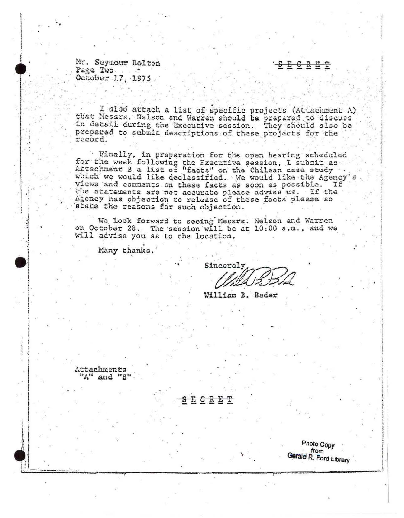Mr. Seymour Bolten Page Two. October 17, 1975

I also attach a list of specific projects (Attachment A) that Messrs. Nelson and Warren should be prepared to discuss in detail during the Executive session. They should also be prepared to submit descriptions of these projects for the record.

Finally, in preparation for the open hearing scheduled for the week following the Executive session, I submit as Attachment B a list of "facts" on the Chilean case study which' we would like declassified. We would like the Agency's views and commants on these facts as soon as possible. Ι£ the statements are not accurate please advise us. If the Agency has objection to release of these facts please so state the reasons for such objection.

We look forward to seeing Messrs. Nelson and Warren on October 28. The session will be at 10:00 a.m., and we will advise you as to the location.

Many thanks.

Sincerely

William B. Bader

Attachments "A" and "B"

Photo Copy from Gerald R. Ford Library

 $C$  R  $E$  T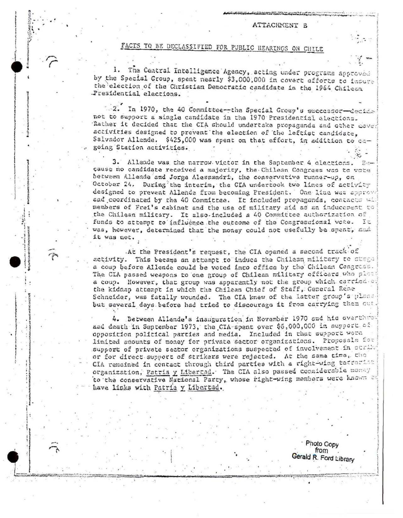## ATTACHMENT B

## FACTS TO BE DECLASSIFIED FOR PUBLIC HEARINGS ON CHILE

The Central Intelligence Agency, acting under programs approved l. by the Special Group, spent nearly \$3,000,000 in covert efforts to insure the election of the Christian Democratic candidate in the 1964 Chilesa Presidential elections.

2. In 1970, the 40 Committee-the Special Group's successor-decide not to support a single candidate in the 1970 Presidential electiona. Rather it decided that the CIA should undertake propaganda and other caver activities designed to prevent the election of the leftist candidate, Salvador Allende. \$425,000 was spent on that effort, in addition to cagoing Station activities.

3. Allende was the narrow victor in the September 4 elections.  $\mathbb{Z}$  and  $\mathbb{Z}$ cause no candidate received a majority, the Chilean Congress was to vote between Allende and Jorge Alessandri, the conservative runner-up, on October 24. During the interim, the CIA undertook two lines of activity designed to prevent Allende from becoming President. One line was approve and coordinated by the 40 Committee. It included propaganda, contacts will members of Frei's cabinet and the use of military aid as an inducement to the Chilean military. It also included a 40 Committee authorization of funds to attempt to influence the outcome of the Congressional vote. It was, however, determined that the money could not usefully be spent, and it was not.

At the President's request, the CIA opened a second track of activity. This became an attempt to induce the Chilean military to steps a coup before Allende could be voted into office by the Chilean Congrass. The CIA passed weapons to one group of Chilean military officers who plots a coup. However, that group was apparently not the group which carried of the kidnap attempt in which the Chilean Chief of Staff, General Rene Schneider, was fatally wounded. The CIA knew of the latter group's plans but several days before had tried to discourage it from carrying them out

4. Between Allande's inauguration in November 1970 and his overthost and death in September 1973, the CIA-spent over \$5,000,000 in support of opposition political parties and media. Included in that support were limited amounts of money for private sector organizations. Proposala for support of private sector organizations suspected of involvement in otribute or for direct support of strikers were rejected. At the same time, the CIA remained in contact through third parties with a right-wing terrorist organization, Patria y Libertad. The CIA also passed considerable money to the conservative National Party, whose right-wing members were known ad have links with Patria y Libertad.

> Photo Copy from Gerald R. Ford Library